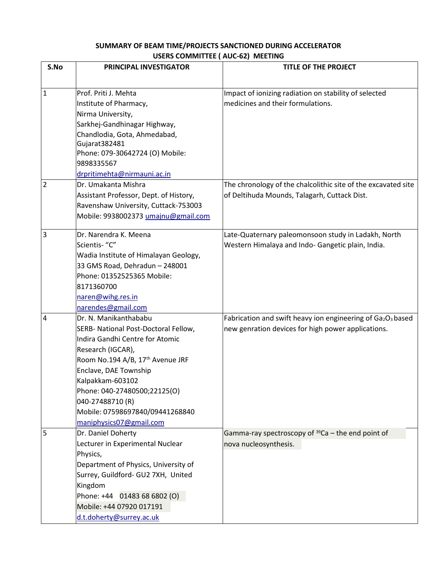## **SUMMARY OF BEAM TIME/PROJECTS SANCTIONED DURING ACCELERATOR USERS COMMITTEE ( AUC-62) MEETING**

| S.No           | <b>PRINCIPAL INVESTIGATOR</b>                    | <b>TITLE OF THE PROJECT</b>                                   |
|----------------|--------------------------------------------------|---------------------------------------------------------------|
| $\mathbf{1}$   | Prof. Priti J. Mehta                             | Impact of ionizing radiation on stability of selected         |
|                | Institute of Pharmacy,                           | medicines and their formulations.                             |
|                | Nirma University,                                |                                                               |
|                | Sarkhej-Gandhinagar Highway,                     |                                                               |
|                | Chandlodia, Gota, Ahmedabad,                     |                                                               |
|                | Gujarat382481                                    |                                                               |
|                | Phone: 079-30642724 (O) Mobile:                  |                                                               |
|                | 9898335567                                       |                                                               |
|                | drpritimehta@nirmauni.ac.in                      |                                                               |
| $\overline{2}$ | Dr. Umakanta Mishra                              | The chronology of the chalcolithic site of the excavated site |
|                | Assistant Professor, Dept. of History,           | of Deltihuda Mounds, Talagarh, Cuttack Dist.                  |
|                | Ravenshaw University, Cuttack-753003             |                                                               |
|                | Mobile: 9938002373 umajnu@gmail.com              |                                                               |
| 3              | Dr. Narendra K. Meena                            | Late-Quaternary paleomonsoon study in Ladakh, North           |
|                | Scientis-"C"                                     | Western Himalaya and Indo- Gangetic plain, India.             |
|                | Wadia Institute of Himalayan Geology,            |                                                               |
|                | 33 GMS Road, Dehradun - 248001                   |                                                               |
|                | Phone: 01352525365 Mobile:                       |                                                               |
|                | 8171360700                                       |                                                               |
|                | naren@wihg.res.in                                |                                                               |
|                | narendes@gmail.com                               |                                                               |
| 4              | Dr. N. Manikanthababu                            | Fabrication and swift heavy ion engineering of Ga2O3 based    |
|                | SERB- National Post-Doctoral Fellow,             | new genration devices for high power applications.            |
|                | Indira Gandhi Centre for Atomic                  |                                                               |
|                | Research (IGCAR),                                |                                                               |
|                | Room No.194 A/B, 17th Avenue JRF                 |                                                               |
|                | Enclave, DAE Township                            |                                                               |
|                | Kalpakkam-603102                                 |                                                               |
|                | Phone: 040-27480500;22125(O)<br>040-27488710 (R) |                                                               |
|                | Mobile: 07598697840/09441268840                  |                                                               |
|                | maniphysics07@gmail.com                          |                                                               |
| 5              | Dr. Daniel Doherty                               | Gamma-ray spectroscopy of <sup>39</sup> Ca - the end point of |
|                | Lecturer in Experimental Nuclear                 | nova nucleosynthesis.                                         |
|                | Physics,                                         |                                                               |
|                | Department of Physics, University of             |                                                               |
|                | Surrey, Guildford- GU2 7XH, United               |                                                               |
|                | Kingdom                                          |                                                               |
|                | Phone: +44 01483 68 6802 (O)                     |                                                               |
|                | Mobile: +44 07920 017191                         |                                                               |
|                | d.t.doherty@surrey.ac.uk                         |                                                               |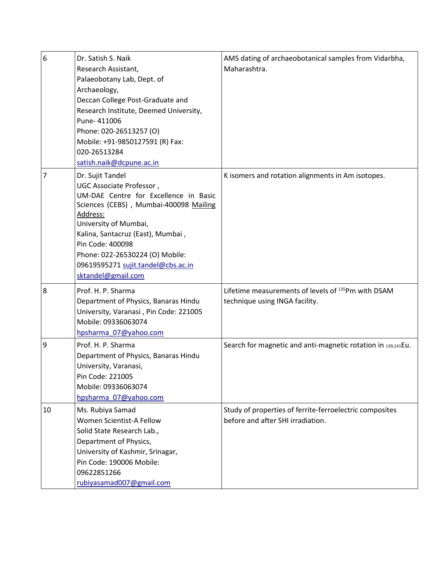| 6  | Dr. Satish S. Naik<br>Research Assistant,<br>Palaeobotany Lab, Dept. of<br>Archaeology,<br>Deccan College Post-Graduate and<br>Research Institute, Deemed University,<br>Pune-411006<br>Phone: 020-26513257 (O)<br>Mobile: +91-9850127591 (R) Fax:<br>020-26513284<br>satish.naik@dcpune.ac.in                               | AMS dating of archaeobotanical samples from Vidarbha,<br>Maharashtra.                        |
|----|------------------------------------------------------------------------------------------------------------------------------------------------------------------------------------------------------------------------------------------------------------------------------------------------------------------------------|----------------------------------------------------------------------------------------------|
| 7  | Dr. Sujit Tandel<br>UGC Associate Professor,<br>UM-DAE Centre for Excellence in Basic<br>Sciences (CEBS), Mumbai-400098 Mailing<br>Address:<br>University of Mumbai,<br>Kalina, Santacruz (East), Mumbai,<br>Pin Code: 400098<br>Phone: 022-26530224 (O) Mobile:<br>09619595271 sujit.tandel@cbs.ac.in<br>sktandel@gmail.com | K isomers and rotation alignments in Am isotopes.                                            |
| 8  | Prof. H. P. Sharma<br>Department of Physics, Banaras Hindu<br>University, Varanasi, Pin Code: 221005<br>Mobile: 09336063074<br>hpsharma 07@yahoo.com                                                                                                                                                                         | Lifetime measurements of levels of 135Pm with DSAM<br>technique using INGA facility.         |
| 9  | Prof. H. P. Sharma<br>Department of Physics, Banaras Hindu<br>University, Varanasi,<br>Pin Code: 221005<br>Mobile: 09336063074<br>hpsharma 07@yahoo.com                                                                                                                                                                      | Search for magnetic and anti-magnetic rotation in 139,141Eu.                                 |
| 10 | Ms. Rubiya Samad<br>Women Scientist-A Fellow<br>Solid State Research Lab.,<br>Department of Physics,<br>University of Kashmir, Srinagar,<br>Pin Code: 190006 Mobile:<br>09622851266<br>rubiyasamad007@gmail.com                                                                                                              | Study of properties of ferrite-ferroelectric composites<br>before and after SHI irradiation. |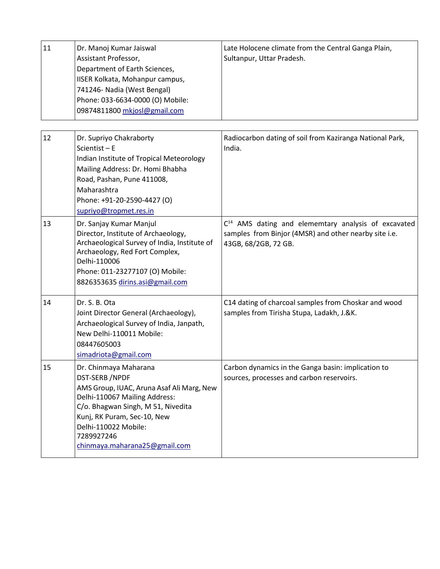| 11 | Dr. Manoj Kumar Jaiswal<br>Assistant Professor,<br>Department of Earth Sciences,<br>IISER Kolkata, Mohanpur campus,<br>741246- Nadia (West Bengal)<br>Phone: 033-6634-0000 (O) Mobile:<br>09874811800 mkjosl@gmail.com                                                  | Late Holocene climate from the Central Ganga Plain,<br>Sultanpur, Uttar Pradesh.                                                                 |
|----|-------------------------------------------------------------------------------------------------------------------------------------------------------------------------------------------------------------------------------------------------------------------------|--------------------------------------------------------------------------------------------------------------------------------------------------|
| 12 | Dr. Supriyo Chakraborty<br>Scientist - $E$<br>Indian Institute of Tropical Meteorology<br>Mailing Address: Dr. Homi Bhabha<br>Road, Pashan, Pune 411008,<br>Maharashtra<br>Phone: +91-20-2590-4427 (O)<br>supriyo@tropmet.res.in                                        | Radiocarbon dating of soil from Kaziranga National Park,<br>India.                                                                               |
| 13 | Dr. Sanjay Kumar Manjul<br>Director, Institute of Archaeology,<br>Archaeological Survey of India, Institute of<br>Archaeology, Red Fort Complex,<br>Delhi-110006<br>Phone: 011-23277107 (O) Mobile:<br>8826353635 dirins.asi@gmail.com                                  | C <sup>14</sup> AMS dating and elememtary analysis of excavated<br>samples from Binjor (4MSR) and other nearby site i.e.<br>43GB, 68/2GB, 72 GB. |
| 14 | Dr. S. B. Ota<br>Joint Director General (Archaeology),<br>Archaeological Survey of India, Janpath,<br>New Delhi-110011 Mobile:<br>08447605003<br>simadriota@gmail.com                                                                                                   | C14 dating of charcoal samples from Choskar and wood<br>samples from Tirisha Stupa, Ladakh, J.&K.                                                |
| 15 | Dr. Chinmaya Maharana<br><b>DST-SERB/NPDF</b><br>AMS Group, IUAC, Aruna Asaf Ali Marg, New<br>Delhi-110067 Mailing Address:<br>C/o. Bhagwan Singh, M 51, Nivedita<br>Kunj, RK Puram, Sec-10, New<br>Delhi-110022 Mobile:<br>7289927246<br>chinmaya.maharana25@gmail.com | Carbon dynamics in the Ganga basin: implication to<br>sources, processes and carbon reservoirs.                                                  |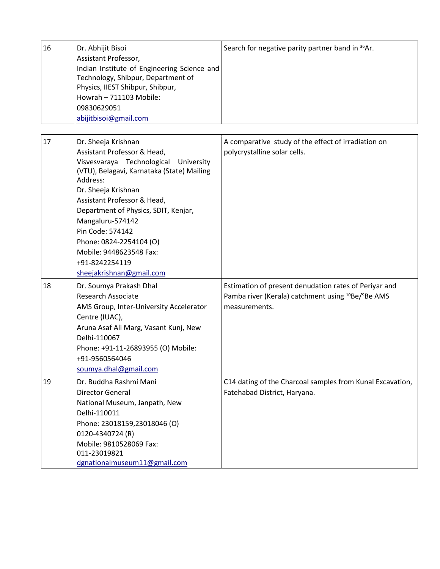| 16 | Dr. Abhijit Bisoi<br>Assistant Professor,<br>Indian Institute of Engineering Science and<br>Technology, Shibpur, Department of<br>Physics, IIEST Shibpur, Shibpur,<br>Howrah - 711103 Mobile:<br>09830629051<br>abijitbisoi@gmail.com                                                                                                                                                              | Search for negative parity partner band in <sup>36</sup> Ar.                                                                                         |
|----|----------------------------------------------------------------------------------------------------------------------------------------------------------------------------------------------------------------------------------------------------------------------------------------------------------------------------------------------------------------------------------------------------|------------------------------------------------------------------------------------------------------------------------------------------------------|
| 17 | Dr. Sheeja Krishnan<br>Assistant Professor & Head,<br>Visvesvaraya Technological<br>University<br>(VTU), Belagavi, Karnataka (State) Mailing<br>Address:<br>Dr. Sheeja Krishnan<br>Assistant Professor & Head,<br>Department of Physics, SDIT, Kenjar,<br>Mangaluru-574142<br>Pin Code: 574142<br>Phone: 0824-2254104 (O)<br>Mobile: 9448623548 Fax:<br>+91-8242254119<br>sheejakrishnan@gmail.com | A comparative study of the effect of irradiation on<br>polycrystalline solar cells.                                                                  |
| 18 | Dr. Soumya Prakash Dhal<br><b>Research Associate</b><br>AMS Group, Inter-University Accelerator<br>Centre (IUAC),<br>Aruna Asaf Ali Marg, Vasant Kunj, New<br>Delhi-110067<br>Phone: +91-11-26893955 (O) Mobile:<br>+91-9560564046<br>soumya.dhal@gmail.com                                                                                                                                        | Estimation of present denudation rates of Periyar and<br>Pamba river (Kerala) catchment using <sup>10</sup> Be/ <sup>9</sup> Be AMS<br>measurements. |
| 19 | Dr. Buddha Rashmi Mani<br><b>Director General</b><br>National Museum, Janpath, New<br>Delhi-110011<br>Phone: 23018159,23018046 (O)<br>0120-4340724 (R)<br>Mobile: 9810528069 Fax:<br>011-23019821<br>dgnationalmuseum11@gmail.com                                                                                                                                                                  | C14 dating of the Charcoal samples from Kunal Excavation,<br>Fatehabad District, Haryana.                                                            |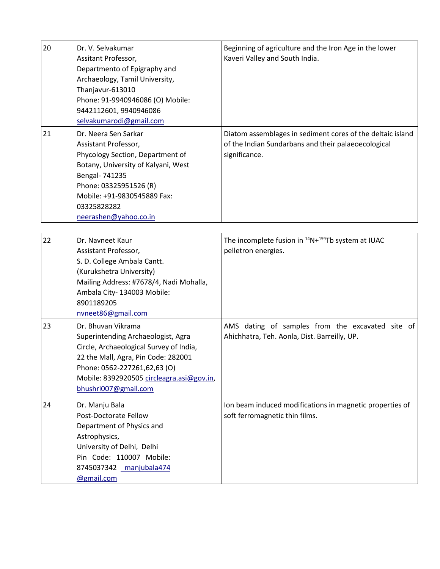| 20 | Dr. V. Selvakumar<br>Assitant Professor,<br>Departmento of Epigraphy and<br>Archaeology, Tamil University,<br>Thanjavur-613010<br>Phone: 91-9940946086 (O) Mobile:<br>9442112601, 9940946086<br>selvakumarodi@gmail.com                         | Beginning of agriculture and the Iron Age in the lower<br>Kaveri Valley and South India.                                           |
|----|-------------------------------------------------------------------------------------------------------------------------------------------------------------------------------------------------------------------------------------------------|------------------------------------------------------------------------------------------------------------------------------------|
| 21 | Dr. Neera Sen Sarkar<br>Assistant Professor,<br>Phycology Section, Department of<br>Botany, University of Kalyani, West<br>Bengal- 741235<br>Phone: 03325951526 (R)<br>Mobile: +91-9830545889 Fax:<br>03325828282<br>neerashen@yahoo.co.in      | Diatom assemblages in sediment cores of the deltaic island<br>of the Indian Sundarbans and their palaeoecological<br>significance. |
| 22 | Dr. Navneet Kaur<br>Assistant Professor,<br>S. D. College Ambala Cantt.<br>(Kurukshetra University)<br>Mailing Address: #7678/4, Nadi Mohalla,<br>Ambala City- 134003 Mobile:<br>8901189205<br>nvneet86@gmail.com                               | The incomplete fusion in $^{14}N+^{159}Tb$ system at IUAC<br>pelletron energies.                                                   |
| 23 | Dr. Bhuvan Vikrama<br>Superintending Archaeologist, Agra<br>Circle, Archaeological Survey of India,<br>22 the Mall, Agra, Pin Code: 282001<br>Phone: 0562-227261,62,63 (O)<br>Mobile: 8392920505 circleagra.asi@gov.in,<br>bhushri007@gmail.com | AMS dating of samples from the excavated site of<br>Ahichhatra, Teh. Aonla, Dist. Barreilly, UP.                                   |
| 24 | Dr. Manju Bala<br><b>Post-Doctorate Fellow</b><br>Department of Physics and<br>Astrophysics,<br>University of Delhi, Delhi<br>Pin Code: 110007 Mobile:<br>8745037342 manjubala474<br>@gmail.com                                                 | Ion beam induced modifications in magnetic properties of<br>soft ferromagnetic thin films.                                         |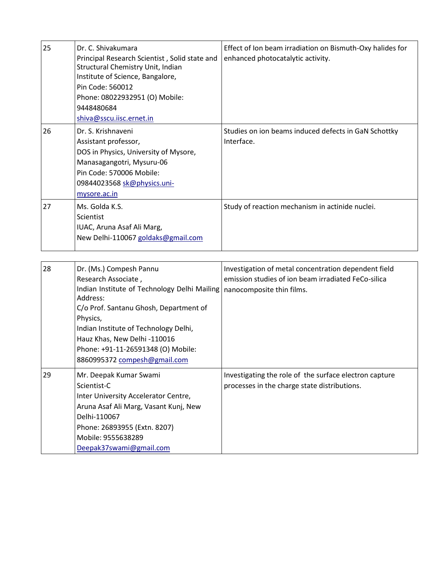| 25 | Dr. C. Shivakumara<br>Principal Research Scientist, Solid state and<br>Structural Chemistry Unit, Indian<br>Institute of Science, Bangalore,<br>Pin Code: 560012<br>Phone: 08022932951 (O) Mobile:<br>9448480684<br>shiva@sscu.iisc.ernet.in | Effect of Ion beam irradiation on Bismuth-Oxy halides for<br>enhanced photocatalytic activity. |
|----|----------------------------------------------------------------------------------------------------------------------------------------------------------------------------------------------------------------------------------------------|------------------------------------------------------------------------------------------------|
| 26 | Dr. S. Krishnaveni<br>Assistant professor,<br>DOS in Physics, University of Mysore,<br>Manasagangotri, Mysuru-06<br>Pin Code: 570006 Mobile:<br>09844023568 sk@physics.uni-<br>mysore.ac.in                                                  | Studies on ion beams induced defects in GaN Schottky<br>Interface.                             |
| 27 | Ms. Golda K.S.<br>Scientist<br>IUAC, Aruna Asaf Ali Marg,<br>New Delhi-110067 goldaks@gmail.com                                                                                                                                              | Study of reaction mechanism in actinide nuclei.                                                |

| 28 | Dr. (Ms.) Compesh Pannu<br>Research Associate,<br>Indian Institute of Technology Delhi Mailing nanocomposite thin films.<br>Address:<br>C/o Prof. Santanu Ghosh, Department of<br>Physics,<br>Indian Institute of Technology Delhi,<br>Hauz Khas, New Delhi -110016<br>Phone: +91-11-26591348 (O) Mobile:<br>8860995372 compesh@gmail.com | Investigation of metal concentration dependent field<br>emission studies of ion beam irradiated FeCo-silica |
|----|-------------------------------------------------------------------------------------------------------------------------------------------------------------------------------------------------------------------------------------------------------------------------------------------------------------------------------------------|-------------------------------------------------------------------------------------------------------------|
| 29 | Mr. Deepak Kumar Swami<br>Scientist-C<br>Inter University Accelerator Centre,<br>Aruna Asaf Ali Marg, Vasant Kunj, New<br>Delhi-110067<br>Phone: 26893955 (Extn. 8207)<br>Mobile: 9555638289<br>Deepak37swami@gmail.com                                                                                                                   | Investigating the role of the surface electron capture<br>processes in the charge state distributions.      |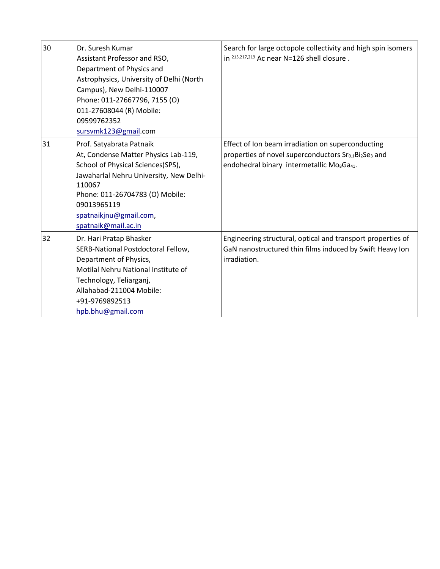| 30 | Dr. Suresh Kumar<br>Assistant Professor and RSO,<br>Department of Physics and<br>Astrophysics, University of Delhi (North<br>Campus), New Delhi-110007<br>Phone: 011-27667796, 7155 (O)<br>011-27608044 (R) Mobile:<br>09599762352<br>sursvmk123@gmail.com    | Search for large octopole collectivity and high spin isomers<br>in 215,217,219 Ac near N=126 shell closure.                                                                    |
|----|---------------------------------------------------------------------------------------------------------------------------------------------------------------------------------------------------------------------------------------------------------------|--------------------------------------------------------------------------------------------------------------------------------------------------------------------------------|
| 31 | Prof. Satyabrata Patnaik<br>At, Condense Matter Physics Lab-119,<br>School of Physical Sciences(SPS),<br>Jawaharlal Nehru University, New Delhi-<br>110067<br>Phone: 011-26704783 (O) Mobile:<br>09013965119<br>spatnaikjnu@gmail.com,<br>spatnaik@mail.ac.in | Effect of Ion beam irradiation on superconducting<br>properties of novel superconductors Sr0.1Bi2Se3 and<br>endohedral binary intermetallic Mo <sub>8</sub> Ga <sub>41</sub> . |
| 32 | Dr. Hari Pratap Bhasker<br>SERB-National Postdoctoral Fellow,<br>Department of Physics,<br>Motilal Nehru National Institute of<br>Technology, Teliarganj,<br>Allahabad-211004 Mobile:<br>+91-9769892513<br>hpb.bhu@gmail.com                                  | Engineering structural, optical and transport properties of<br>GaN nanostructured thin films induced by Swift Heavy Ion<br>irradiation.                                        |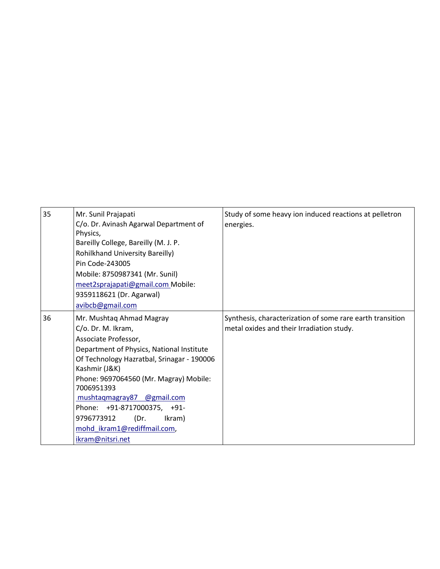| 35 | Mr. Sunil Prajapati<br>C/o. Dr. Avinash Agarwal Department of<br>Physics,<br>Bareilly College, Bareilly (M. J. P.<br><b>Rohilkhand University Bareilly)</b><br>Pin Code-243005<br>Mobile: 8750987341 (Mr. Sunil)<br>meet2sprajapati@gmail.com Mobile:<br>9359118621 (Dr. Agarwal)<br>avibcb@gmail.com                                                                                      | Study of some heavy ion induced reactions at pelletron<br>energies.                                    |
|----|--------------------------------------------------------------------------------------------------------------------------------------------------------------------------------------------------------------------------------------------------------------------------------------------------------------------------------------------------------------------------------------------|--------------------------------------------------------------------------------------------------------|
| 36 | Mr. Mushtaq Ahmad Magray<br>C/o. Dr. M. Ikram,<br>Associate Professor,<br>Department of Physics, National Institute<br>Of Technology Hazratbal, Srinagar - 190006<br>Kashmir (J&K)<br>Phone: 9697064560 (Mr. Magray) Mobile:<br>7006951393<br>mushtaqmagray87 @gmail.com<br>Phone: +91-8717000375, +91-<br>9796773912<br>(Dr.<br>Ikram)<br>mohd ikram1@rediffmail.com,<br>ikram@nitsri.net | Synthesis, characterization of some rare earth transition<br>metal oxides and their Irradiation study. |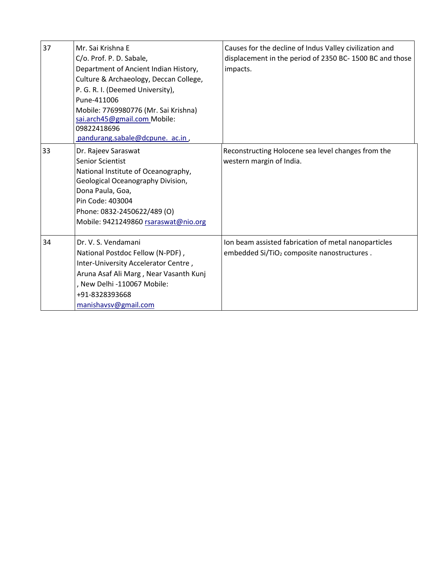| 37 | Mr. Sai Krishna E<br>C/o. Prof. P. D. Sabale,<br>Department of Ancient Indian History,<br>Culture & Archaeology, Deccan College,<br>P. G. R. I. (Deemed University),<br>Pune-411006<br>Mobile: 7769980776 (Mr. Sai Krishna)<br>sai.arch45@gmail.com Mobile:<br>09822418696<br>pandurang.sabale@dcpune. ac.in, | Causes for the decline of Indus Valley civilization and<br>displacement in the period of 2350 BC-1500 BC and those<br>impacts. |
|----|---------------------------------------------------------------------------------------------------------------------------------------------------------------------------------------------------------------------------------------------------------------------------------------------------------------|--------------------------------------------------------------------------------------------------------------------------------|
| 33 | Dr. Rajeev Saraswat<br><b>Senior Scientist</b><br>National Institute of Oceanography,<br>Geological Oceanography Division,<br>Dona Paula, Goa,<br>Pin Code: 403004<br>Phone: 0832-2450622/489 (O)<br>Mobile: 9421249860 rsaraswat@nio.org                                                                     | Reconstructing Holocene sea level changes from the<br>western margin of India.                                                 |
| 34 | Dr. V. S. Vendamani<br>National Postdoc Fellow (N-PDF),<br>Inter-University Accelerator Centre,<br>Aruna Asaf Ali Marg, Near Vasanth Kunj<br>, New Delhi -110067 Mobile:<br>+91-8328393668<br>manishavsv@gmail.com                                                                                            | Ion beam assisted fabrication of metal nanoparticles<br>embedded Si/TiO <sub>2</sub> composite nanostructures.                 |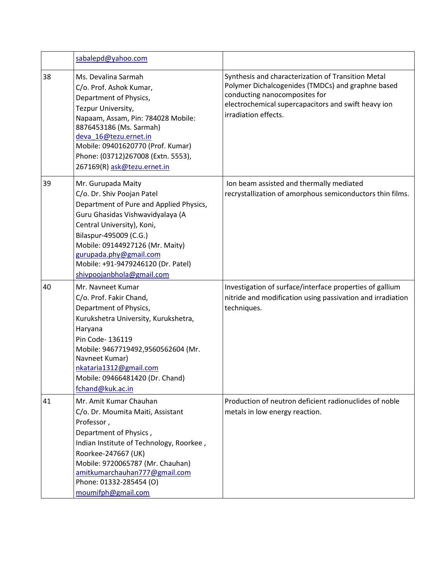|    | sabalepd@yahoo.com                                                                                                                                                                                                                                                                                                      |                                                                                                                                                                                                                         |
|----|-------------------------------------------------------------------------------------------------------------------------------------------------------------------------------------------------------------------------------------------------------------------------------------------------------------------------|-------------------------------------------------------------------------------------------------------------------------------------------------------------------------------------------------------------------------|
| 38 | Ms. Devalina Sarmah<br>C/o. Prof. Ashok Kumar,<br>Department of Physics,<br>Tezpur University,<br>Napaam, Assam, Pin: 784028 Mobile:<br>8876453186 (Ms. Sarmah)<br>deva 16@tezu.ernet.in<br>Mobile: 09401620770 (Prof. Kumar)<br>Phone: (03712)267008 (Extn. 5553),<br>267169(R) ask@tezu.ernet.in                      | Synthesis and characterization of Transition Metal<br>Polymer Dichalcogenides (TMDCs) and graphne based<br>conducting nanocomposites for<br>electrochemical supercapacitors and swift heavy ion<br>irradiation effects. |
| 39 | Mr. Gurupada Maity<br>C/o. Dr. Shiv Poojan Patel<br>Department of Pure and Applied Physics,<br>Guru Ghasidas Vishwavidyalaya (A<br>Central University), Koni,<br>Bilaspur-495009 (C.G.)<br>Mobile: 09144927126 (Mr. Maity)<br>gurupada.phy@gmail.com<br>Mobile: +91-9479246120 (Dr. Patel)<br>shivpoojanbhola@gmail.com | Ion beam assisted and thermally mediated<br>recrystallization of amorphous semiconductors thin films.                                                                                                                   |
| 40 | Mr. Navneet Kumar<br>C/o. Prof. Fakir Chand,<br>Department of Physics,<br>Kurukshetra University, Kurukshetra,<br>Haryana<br>Pin Code- 136119<br>Mobile: 9467719492,9560562604 (Mr.<br>Navneet Kumar)<br>nkataria1312@gmail.com<br>Mobile: 09466481420 (Dr. Chand)<br>fchand@kuk.ac.in                                  | Investigation of surface/interface properties of gallium<br>nitride and modification using passivation and irradiation<br>techniques.                                                                                   |
| 41 | Mr. Amit Kumar Chauhan<br>C/o. Dr. Moumita Maiti, Assistant<br>Professor,<br>Department of Physics,<br>Indian Institute of Technology, Roorkee,<br>Roorkee-247667 (UK)<br>Mobile: 9720065787 (Mr. Chauhan)<br>amitkumarchauhan777@gmail.com<br>Phone: 01332-285454 (O)<br>moumifph@gmail.com                            | Production of neutron deficient radionuclides of noble<br>metals in low energy reaction.                                                                                                                                |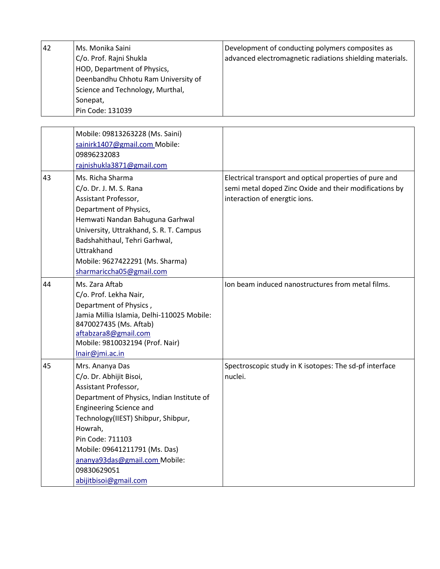| 42 | Ms. Monika Saini<br>C/o. Prof. Rajni Shukla<br>HOD, Department of Physics,<br>Deenbandhu Chhotu Ram University of<br>Science and Technology, Murthal,<br>Sonepat,<br>Pin Code: 131039                                                                                                                                              | Development of conducting polymers composites as<br>advanced electromagnetic radiations shielding materials.                                       |
|----|------------------------------------------------------------------------------------------------------------------------------------------------------------------------------------------------------------------------------------------------------------------------------------------------------------------------------------|----------------------------------------------------------------------------------------------------------------------------------------------------|
|    | Mobile: 09813263228 (Ms. Saini)<br>sainirk1407@gmail.com Mobile:<br>09896232083<br>rajnishukla3871@gmail.com                                                                                                                                                                                                                       |                                                                                                                                                    |
| 43 | Ms. Richa Sharma<br>C/o. Dr. J. M. S. Rana<br>Assistant Professor,<br>Department of Physics,<br>Hemwati Nandan Bahuguna Garhwal<br>University, Uttrakhand, S. R. T. Campus<br>Badshahithaul, Tehri Garhwal,<br>Uttrakhand<br>Mobile: 9627422291 (Ms. Sharma)<br>sharmariccha05@gmail.com                                           | Electrical transport and optical properties of pure and<br>semi metal doped Zinc Oxide and their modifications by<br>interaction of energtic ions. |
| 44 | Ms. Zara Aftab<br>C/o. Prof. Lekha Nair,<br>Department of Physics,<br>Jamia Millia Islamia, Delhi-110025 Mobile:<br>8470027435 (Ms. Aftab)<br>aftabzara8@gmail.com<br>Mobile: 9810032194 (Prof. Nair)<br>Inair@jmi.ac.in                                                                                                           | Ion beam induced nanostructures from metal films.                                                                                                  |
| 45 | Mrs. Ananya Das<br>C/o. Dr. Abhijit Bisoi,<br>Assistant Professor,<br>Department of Physics, Indian Institute of<br><b>Engineering Science and</b><br>Technology(IIEST) Shibpur, Shibpur,<br>Howrah,<br>Pin Code: 711103<br>Mobile: 09641211791 (Ms. Das)<br>ananya93das@gmail.com Mobile:<br>09830629051<br>abijitbisoi@gmail.com | Spectroscopic study in K isotopes: The sd-pf interface<br>nuclei.                                                                                  |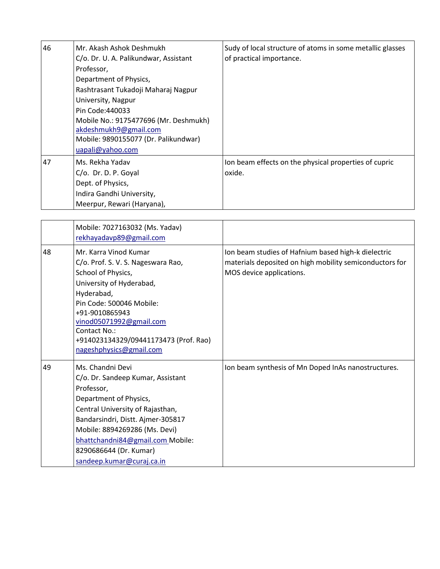| 46 | Mr. Akash Ashok Deshmukh<br>C/o. Dr. U. A. Palikundwar, Assistant<br>Professor,<br>Department of Physics,<br>Rashtrasant Tukadoji Maharaj Nagpur<br>University, Nagpur<br>Pin Code: 440033<br>Mobile No.: 9175477696 (Mr. Deshmukh)<br>akdeshmukh9@gmail.com<br>Mobile: 9890155077 (Dr. Palikundwar)<br>uapali@yahoo.com | Sudy of local structure of atoms in some metallic glasses<br>of practical importance. |
|----|--------------------------------------------------------------------------------------------------------------------------------------------------------------------------------------------------------------------------------------------------------------------------------------------------------------------------|---------------------------------------------------------------------------------------|
| 47 | Ms. Rekha Yadav<br>C/o. Dr. D. P. Goyal<br>Dept. of Physics,<br>Indira Gandhi University,<br>Meerpur, Rewari (Haryana),                                                                                                                                                                                                  | Ion beam effects on the physical properties of cupric<br>oxide.                       |

|    | Mobile: 7027163032 (Ms. Yadav)<br>rekhayadavp89@gmail.com                                                                                                                                                                                                                                          |                                                                                                                                            |
|----|----------------------------------------------------------------------------------------------------------------------------------------------------------------------------------------------------------------------------------------------------------------------------------------------------|--------------------------------------------------------------------------------------------------------------------------------------------|
| 48 | Mr. Karra Vinod Kumar<br>C/o. Prof. S. V. S. Nageswara Rao,<br>School of Physics,<br>University of Hyderabad,<br>Hyderabad,<br>Pin Code: 500046 Mobile:<br>+91-9010865943<br>vinod05071992@gmail.com<br>Contact No.:<br>+914023134329/09441173473 (Prof. Rao)<br>nageshphysics@gmail.com           | Ion beam studies of Hafnium based high-k dielectric<br>materials deposited on high mobility semiconductors for<br>MOS device applications. |
| 49 | Ms. Chandni Devi<br>C/o. Dr. Sandeep Kumar, Assistant<br>Professor,<br>Department of Physics,<br>Central University of Rajasthan,<br>Bandarsindri, Distt. Ajmer-305817<br>Mobile: 8894269286 (Ms. Devi)<br>bhattchandni84@gmail.com Mobile:<br>8290686644 (Dr. Kumar)<br>sandeep.kumar@curaj.ca.in | Ion beam synthesis of Mn Doped InAs nanostructures.                                                                                        |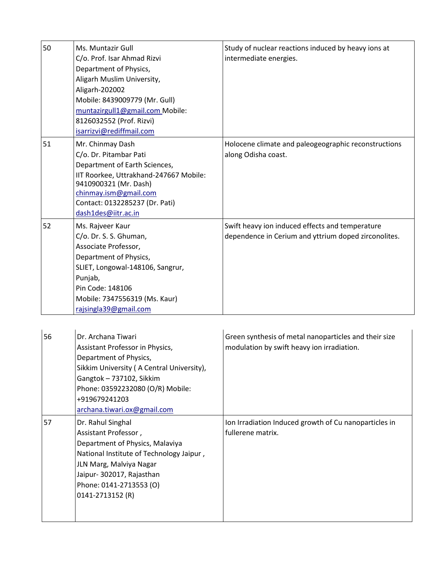| 50 | Ms. Muntazir Gull                                       | Study of nuclear reactions induced by heavy ions at   |
|----|---------------------------------------------------------|-------------------------------------------------------|
|    | C/o. Prof. Isar Ahmad Rizvi                             | intermediate energies.                                |
|    | Department of Physics,                                  |                                                       |
|    | Aligarh Muslim University,                              |                                                       |
|    | Aligarh-202002                                          |                                                       |
|    | Mobile: 8439009779 (Mr. Gull)                           |                                                       |
|    | muntazirgull1@gmail.com Mobile:                         |                                                       |
|    | 8126032552 (Prof. Rizvi)                                |                                                       |
|    | isarrizvi@rediffmail.com                                |                                                       |
| 51 | Mr. Chinmay Dash                                        | Holocene climate and paleogeographic reconstructions  |
|    | C/o. Dr. Pitambar Pati                                  | along Odisha coast.                                   |
|    | Department of Earth Sciences,                           |                                                       |
|    | IIT Roorkee, Uttrakhand-247667 Mobile:                  |                                                       |
|    | 9410900321 (Mr. Dash)                                   |                                                       |
|    | chinmay.ism@gmail.com<br>Contact: 0132285237 (Dr. Pati) |                                                       |
|    | dash1des@iitr.ac.in                                     |                                                       |
| 52 |                                                         | Swift heavy ion induced effects and temperature       |
|    | Ms. Rajveer Kaur<br>C/o. Dr. S. S. Ghuman,              | dependence in Cerium and yttrium doped zirconolites.  |
|    | Associate Professor,                                    |                                                       |
|    | Department of Physics,                                  |                                                       |
|    | SLIET, Longowal-148106, Sangrur,                        |                                                       |
|    | Punjab,                                                 |                                                       |
|    | Pin Code: 148106                                        |                                                       |
|    | Mobile: 7347556319 (Ms. Kaur)                           |                                                       |
|    | rajsingla39@gmail.com                                   |                                                       |
|    |                                                         |                                                       |
| 56 | Dr. Archana Tiwari                                      | Green synthesis of metal nanoparticles and their size |
|    | Assistant Professor in Physics,                         | modulation by swift heavy ion irradiation.            |
|    | Department of Physics,                                  |                                                       |
|    | Sikkim University (A Central University),               |                                                       |
|    | Gangtok - 737102, Sikkim                                |                                                       |
|    | Phone: 03592232080 (O/R) Mobile:                        |                                                       |
|    | +919679241203                                           |                                                       |
|    | archana.tiwari.ox@gmail.com                             |                                                       |
| 57 | Dr. Rahul Singhal                                       | Ion Irradiation Induced growth of Cu nanoparticles in |
|    | Assistant Professor,                                    | fullerene matrix.                                     |
|    | Department of Physics, Malaviya                         |                                                       |
|    | National Institute of Technology Jaipur,                |                                                       |
|    | JLN Marg, Malviya Nagar                                 |                                                       |
|    | Jaipur- 302017, Rajasthan                               |                                                       |
|    | Phone: 0141-2713553 (O)                                 |                                                       |
|    | 0141-2713152 (R)                                        |                                                       |
|    |                                                         |                                                       |
|    |                                                         |                                                       |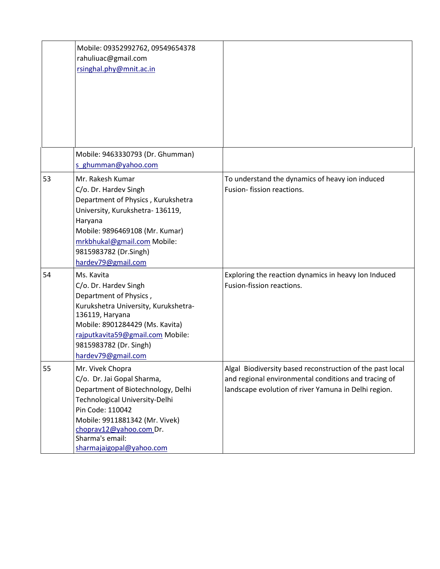|    | Mobile: 09352992762, 09549654378<br>rahuliuac@gmail.com<br>rsinghal.phy@mnit.ac.in                                                                                                                                                                     |                                                                                                                                                                           |
|----|--------------------------------------------------------------------------------------------------------------------------------------------------------------------------------------------------------------------------------------------------------|---------------------------------------------------------------------------------------------------------------------------------------------------------------------------|
|    | Mobile: 9463330793 (Dr. Ghumman)<br>s_ghumman@yahoo.com                                                                                                                                                                                                |                                                                                                                                                                           |
| 53 | Mr. Rakesh Kumar<br>C/o. Dr. Hardev Singh<br>Department of Physics, Kurukshetra<br>University, Kurukshetra- 136119,<br>Haryana<br>Mobile: 9896469108 (Mr. Kumar)<br>mrkbhukal@gmail.com Mobile:<br>9815983782 (Dr.Singh)<br>hardev79@gmail.com         | To understand the dynamics of heavy ion induced<br>Fusion-fission reactions.                                                                                              |
| 54 | Ms. Kavita<br>C/o. Dr. Hardev Singh<br>Department of Physics,<br>Kurukshetra University, Kurukshetra-<br>136119, Haryana<br>Mobile: 8901284429 (Ms. Kavita)<br>rajputkavita59@gmail.com Mobile:<br>9815983782 (Dr. Singh)<br>hardev79@gmail.com        | Exploring the reaction dynamics in heavy Ion Induced<br>Fusion-fission reactions.                                                                                         |
| 55 | Mr. Vivek Chopra<br>C/o. Dr. Jai Gopal Sharma,<br>Department of Biotechnology, Delhi<br>Technological University-Delhi<br>Pin Code: 110042<br>Mobile: 9911881342 (Mr. Vivek)<br>choprav12@yahoo.com Dr.<br>Sharma's email:<br>sharmajaigopal@yahoo.com | Algal Biodiversity based reconstruction of the past local<br>and regional environmental conditions and tracing of<br>landscape evolution of river Yamuna in Delhi region. |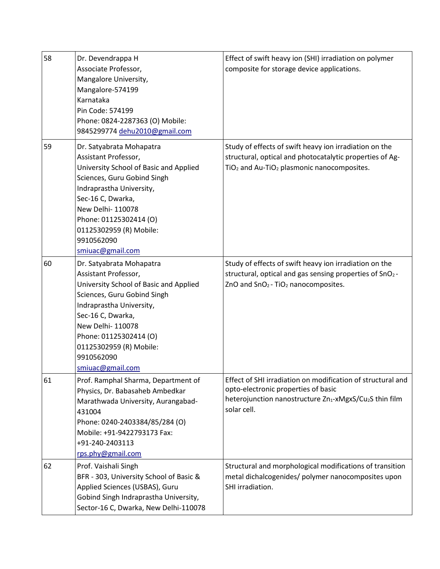| 58 | Dr. Devendrappa H<br>Associate Professor,<br>Mangalore University,<br>Mangalore-574199<br>Karnataka<br>Pin Code: 574199<br>Phone: 0824-2287363 (O) Mobile:<br>9845299774 dehu2010@gmail.com                                                                                            | Effect of swift heavy ion (SHI) irradiation on polymer<br>composite for storage device applications.                                                                                                 |
|----|----------------------------------------------------------------------------------------------------------------------------------------------------------------------------------------------------------------------------------------------------------------------------------------|------------------------------------------------------------------------------------------------------------------------------------------------------------------------------------------------------|
| 59 | Dr. Satyabrata Mohapatra<br>Assistant Professor,<br>University School of Basic and Applied<br>Sciences, Guru Gobind Singh<br>Indraprastha University,<br>Sec-16 C, Dwarka,<br>New Delhi- 110078<br>Phone: 01125302414 (O)<br>01125302959 (R) Mobile:<br>9910562090<br>smiuac@gmail.com | Study of effects of swift heavy ion irradiation on the<br>structural, optical and photocatalytic properties of Ag-<br>TiO <sub>2</sub> and Au-TiO <sub>2</sub> plasmonic nanocomposites.             |
| 60 | Dr. Satyabrata Mohapatra<br>Assistant Professor,<br>University School of Basic and Applied<br>Sciences, Guru Gobind Singh<br>Indraprastha University,<br>Sec-16 C, Dwarka,<br>New Delhi- 110078<br>Phone: 01125302414 (O)<br>01125302959 (R) Mobile:<br>9910562090<br>smiuac@gmail.com | Study of effects of swift heavy ion irradiation on the<br>structural, optical and gas sensing properties of SnO <sub>2</sub> -<br>ZnO and SnO <sub>2</sub> - TiO <sub>2</sub> nanocomposites.        |
| 61 | Prof. Ramphal Sharma, Department of<br>Physics, Dr. Babasaheb Ambedkar<br>Marathwada University, Aurangabad-<br>431004<br>Phone: 0240-2403384/85/284 (O)<br>Mobile: +91-9422793173 Fax:<br>+91-240-2403113<br>rps.phy@gmail.com                                                        | Effect of SHI irradiation on modification of structural and<br>opto-electronic properties of basic<br>heterojunction nanostructure Zn <sub>1</sub> -xMgxS/Cu <sub>2</sub> S thin film<br>solar cell. |
| 62 | Prof. Vaishali Singh<br>BFR - 303, University School of Basic &<br>Applied Sciences (USBAS), Guru<br>Gobind Singh Indraprastha University,<br>Sector-16 C, Dwarka, New Delhi-110078                                                                                                    | Structural and morphological modifications of transition<br>metal dichalcogenides/ polymer nanocomposites upon<br>SHI irradiation.                                                                   |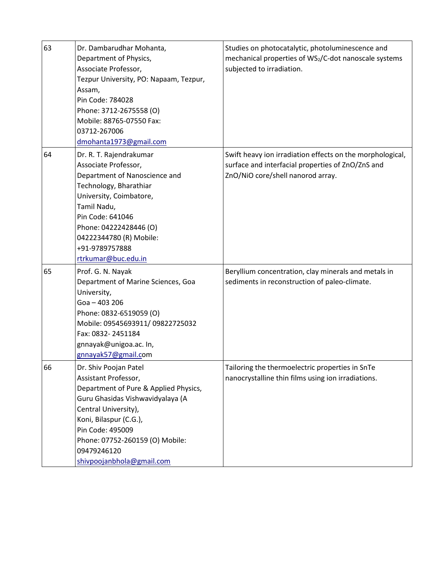| 63 | Dr. Dambarudhar Mohanta,<br>Department of Physics,<br>Associate Professor,<br>Tezpur University, PO: Napaam, Tezpur,<br>Assam,<br>Pin Code: 784028<br>Phone: 3712-2675558 (O)<br>Mobile: 88765-07550 Fax:<br>03712-267006<br>dmohanta1973@gmail.com                             | Studies on photocatalytic, photoluminescence and<br>mechanical properties of WS2/C-dot nanoscale systems<br>subjected to irradiation.               |
|----|---------------------------------------------------------------------------------------------------------------------------------------------------------------------------------------------------------------------------------------------------------------------------------|-----------------------------------------------------------------------------------------------------------------------------------------------------|
| 64 | Dr. R. T. Rajendrakumar<br>Associate Professor,<br>Department of Nanoscience and<br>Technology, Bharathiar<br>University, Coimbatore,<br>Tamil Nadu,<br>Pin Code: 641046<br>Phone: 04222428446 (O)<br>04222344780 (R) Mobile:<br>+91-9789757888<br>rtrkumar@buc.edu.in          | Swift heavy ion irradiation effects on the morphological,<br>surface and interfacial properties of ZnO/ZnS and<br>ZnO/NiO core/shell nanorod array. |
| 65 | Prof. G. N. Nayak<br>Department of Marine Sciences, Goa<br>University,<br>$Goa - 403206$<br>Phone: 0832-6519059 (O)<br>Mobile: 09545693911/09822725032<br>Fax: 0832-2451184<br>gnnayak@unigoa.ac. In,<br>gnnayak57@gmail.com                                                    | Beryllium concentration, clay minerals and metals in<br>sediments in reconstruction of paleo-climate.                                               |
| 66 | Dr. Shiv Poojan Patel<br>Assistant Professor,<br>Department of Pure & Applied Physics,<br>Guru Ghasidas Vishwavidyalaya (A<br>Central University),<br>Koni, Bilaspur (C.G.),<br>Pin Code: 495009<br>Phone: 07752-260159 (O) Mobile:<br>09479246120<br>shivpoojanbhola@gmail.com | Tailoring the thermoelectric properties in SnTe<br>nanocrystalline thin films using ion irradiations.                                               |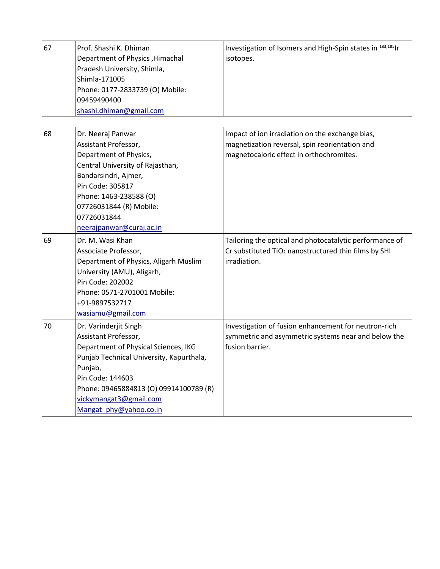| 67 | Prof. Shashi K. Dhiman<br>Department of Physics, Himachal<br>Pradesh University, Shimla,<br>Shimla-171005<br>Phone: 0177-2833739 (O) Mobile:<br>09459490400<br>shashi.dhiman@gmail.com                                                                         | Investigation of Isomers and High-Spin states in 183,185Ir<br>isotopes.                                                                       |
|----|----------------------------------------------------------------------------------------------------------------------------------------------------------------------------------------------------------------------------------------------------------------|-----------------------------------------------------------------------------------------------------------------------------------------------|
| 68 | Dr. Neeraj Panwar<br>Assistant Professor,<br>Department of Physics,<br>Central University of Rajasthan,<br>Bandarsindri, Ajmer,<br>Pin Code: 305817<br>Phone: 1463-238588 (O)<br>07726031844 (R) Mobile:<br>07726031844<br>neerajpanwar@curaj.ac.in            | Impact of ion irradiation on the exchange bias,<br>magnetization reversal, spin reorientation and<br>magnetocaloric effect in orthochromites. |
| 69 | Dr. M. Wasi Khan<br>Associate Professor,<br>Department of Physics, Aligarh Muslim<br>University (AMU), Aligarh,<br>Pin Code: 202002<br>Phone: 0571-2701001 Mobile:<br>+91-9897532717<br>wasiamu@gmail.com                                                      | Tailoring the optical and photocatalytic performance of<br>Cr substituted TiO <sub>2</sub> nanostructured thin films by SHI<br>irradiation.   |
| 70 | Dr. Varinderjit Singh<br>Assistant Professor,<br>Department of Physical Sciences, IKG<br>Punjab Technical University, Kapurthala,<br>Punjab,<br>Pin Code: 144603<br>Phone: 09465884813 (O) 09914100789 (R)<br>vickymangat3@gmail.com<br>Mangat_phy@yahoo.co.in | Investigation of fusion enhancement for neutron-rich<br>symmetric and asymmetric systems near and below the<br>fusion barrier.                |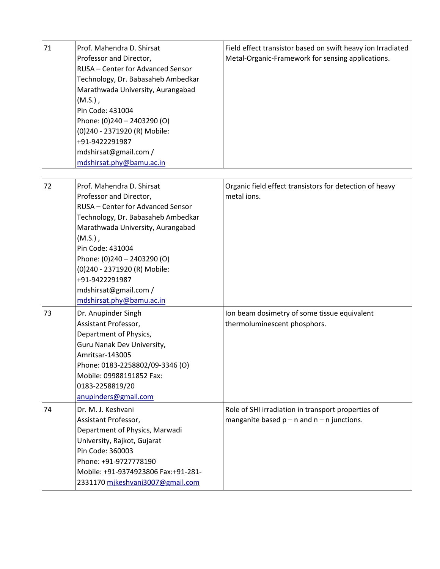| 71 | Prof. Mahendra D. Shirsat<br>Professor and Director,<br>RUSA - Center for Advanced Sensor<br>Technology, Dr. Babasaheb Ambedkar<br>Marathwada University, Aurangabad<br>$(M.S.)$ ,<br>Pin Code: 431004<br>Phone: (0)240 - 2403290 (O)<br>(0)240 - 2371920 (R) Mobile:<br>+91-9422291987<br>mdshirsat@gmail.com /<br>mdshirsat.phy@bamu.ac.in | Field effect transistor based on swift heavy ion Irradiated<br>Metal-Organic-Framework for sensing applications. |
|----|----------------------------------------------------------------------------------------------------------------------------------------------------------------------------------------------------------------------------------------------------------------------------------------------------------------------------------------------|------------------------------------------------------------------------------------------------------------------|
| 72 | Prof. Mahendra D. Shirsat<br>Professor and Director,<br>RUSA - Center for Advanced Sensor<br>Technology, Dr. Babasaheb Ambedkar<br>Marathwada University, Aurangabad<br>$(M.S.)$ ,<br>Pin Code: 431004<br>Phone: (0)240 - 2403290 (O)<br>(0)240 - 2371920 (R) Mobile:<br>+91-9422291987<br>mdshirsat@gmail.com /<br>mdshirsat.phy@bamu.ac.in | Organic field effect transistors for detection of heavy<br>metal ions.                                           |
| 73 | Dr. Anupinder Singh<br>Assistant Professor,<br>Department of Physics,<br>Guru Nanak Dev University,<br>Amritsar-143005<br>Phone: 0183-2258802/09-3346 (O)<br>Mobile: 09988191852 Fax:<br>0183-2258819/20<br>anupinders@gmail.com                                                                                                             | Ion beam dosimetry of some tissue equivalent<br>thermoluminescent phosphors.                                     |
| 74 | Dr. M. J. Keshvani<br>Assistant Professor,<br>Department of Physics, Marwadi<br>University, Rajkot, Gujarat<br>Pin Code: 360003<br>Phone: +91-9727778190<br>Mobile: +91-9374923806 Fax:+91-281-<br>2331170 mjkeshvani3007@gmail.com                                                                                                          | Role of SHI irradiation in transport properties of<br>manganite based $p - n$ and $n - n$ junctions.             |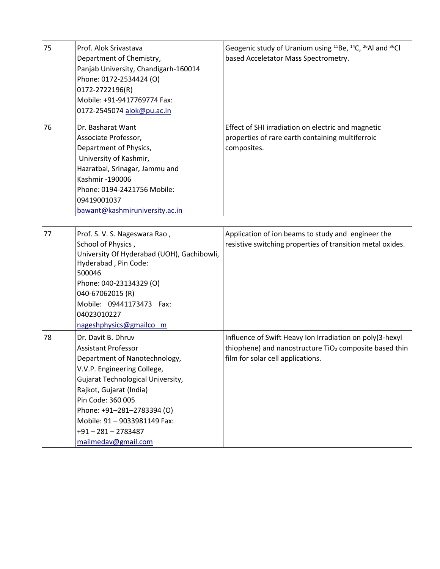| 75 | Prof. Alok Srivastava<br>Department of Chemistry,<br>Panjab University, Chandigarh-160014<br>Phone: 0172-2534424 (O)<br>0172-2722196(R)<br>Mobile: +91-9417769774 Fax:<br>0172-2545074 alok@pu.ac.in                                                                                                                | Geogenic study of Uranium using <sup>11</sup> Be, <sup>14</sup> C, <sup>26</sup> Al and <sup>36</sup> Cl<br>based Acceletator Mass Spectrometry.                    |
|----|---------------------------------------------------------------------------------------------------------------------------------------------------------------------------------------------------------------------------------------------------------------------------------------------------------------------|---------------------------------------------------------------------------------------------------------------------------------------------------------------------|
| 76 | Dr. Basharat Want<br>Associate Professor,<br>Department of Physics,<br>University of Kashmir,<br>Hazratbal, Srinagar, Jammu and<br>Kashmir -190006<br>Phone: 0194-2421756 Mobile:<br>09419001037<br>bawant@kashmiruniversity.ac.in                                                                                  | Effect of SHI irradiation on electric and magnetic<br>properties of rare earth containing multiferroic<br>composites.                                               |
| 77 | Prof. S. V. S. Nageswara Rao,<br>School of Physics,<br>University Of Hyderabad (UOH), Gachibowli,<br>Hyderabad, Pin Code:<br>500046<br>Phone: 040-23134329 (O)<br>040-67062015 (R)<br>Mobile: 09441173473 Fax:<br>04023010227<br>nageshphysics@gmailco m                                                            | Application of ion beams to study and engineer the<br>resistive switching properties of transition metal oxides.                                                    |
| 78 | Dr. Davit B. Dhruv<br><b>Assistant Professor</b><br>Department of Nanotechnology,<br>V.V.P. Engineering College,<br>Gujarat Technological University,<br>Rajkot, Gujarat (India)<br>Pin Code: 360 005<br>Phone: +91-281-2783394 (O)<br>Mobile: 91 - 9033981149 Fax:<br>$+91 - 281 - 2783487$<br>mailmedav@gmail.com | Influence of Swift Heavy Ion Irradiation on poly(3-hexyl<br>thiophene) and nanostructure TiO <sub>2</sub> composite based thin<br>film for solar cell applications. |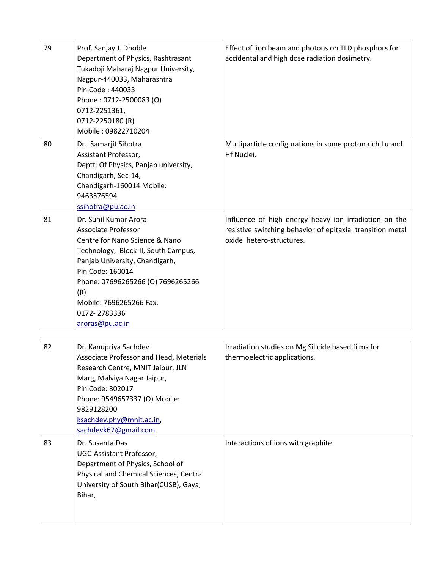| 79 | Prof. Sanjay J. Dhoble<br>Department of Physics, Rashtrasant<br>Tukadoji Maharaj Nagpur University,<br>Nagpur-440033, Maharashtra<br>Pin Code: 440033<br>Phone: 0712-2500083 (O)<br>0712-2251361,<br>0712-2250180 (R)<br>Mobile: 09822710204                                                 | Effect of ion beam and photons on TLD phosphors for<br>accidental and high dose radiation dosimetry.                                            |
|----|----------------------------------------------------------------------------------------------------------------------------------------------------------------------------------------------------------------------------------------------------------------------------------------------|-------------------------------------------------------------------------------------------------------------------------------------------------|
| 80 | Dr. Samarjit Sihotra<br>Assistant Professor,<br>Deptt. Of Physics, Panjab university,<br>Chandigarh, Sec-14,<br>Chandigarh-160014 Mobile:<br>9463576594<br>ssihotra@pu.ac.in                                                                                                                 | Multiparticle configurations in some proton rich Lu and<br>Hf Nuclei.                                                                           |
| 81 | Dr. Sunil Kumar Arora<br><b>Associate Professor</b><br>Centre for Nano Science & Nano<br>Technology, Block-II, South Campus,<br>Panjab University, Chandigarh,<br>Pin Code: 160014<br>Phone: 07696265266 (O) 7696265266<br>(R)<br>Mobile: 7696265266 Fax:<br>0172-2783336<br>aroras@pu.ac.in | Influence of high energy heavy ion irradiation on the<br>resistive switching behavior of epitaxial transition metal<br>oxide hetero-structures. |
| 82 | Dr. Kanupriya Sachdev<br>Associate Professor and Head, Meterials<br>Research Centre, MNIT Jaipur, JLN<br>Marg, Malviya Nagar Jaipur,<br>Pin Code: 302017<br>Phone: 9549657337 (O) Mobile:<br>9829128200<br>ksachdev.phy@mnit.ac.in,<br>sachdevk67@gmail.com                                  | Irradiation studies on Mg Silicide based films for<br>thermoelectric applications.                                                              |
| 83 | Dr. Susanta Das<br>UGC-Assistant Professor,<br>Department of Physics, School of<br>Physical and Chemical Sciences, Central<br>University of South Bihar(CUSB), Gaya,<br>Bihar,                                                                                                               | Interactions of ions with graphite.                                                                                                             |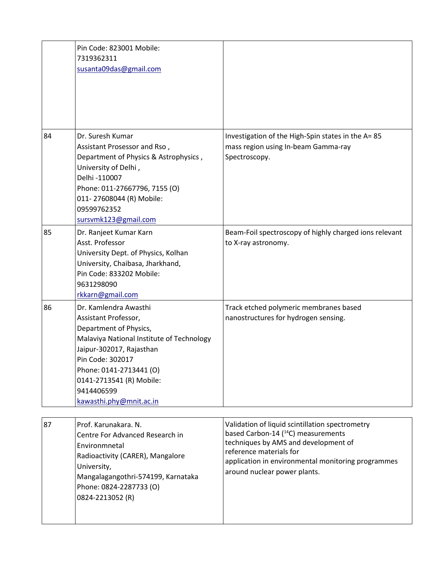|    | Pin Code: 823001 Mobile:<br>7319362311<br>susanta09das@gmail.com                                                                                                                                                                                                     |                                                                                                                                                                                                                                                             |
|----|----------------------------------------------------------------------------------------------------------------------------------------------------------------------------------------------------------------------------------------------------------------------|-------------------------------------------------------------------------------------------------------------------------------------------------------------------------------------------------------------------------------------------------------------|
| 84 | Dr. Suresh Kumar<br>Assistant Prosessor and Rso,<br>Department of Physics & Astrophysics,<br>University of Delhi,<br>Delhi -110007<br>Phone: 011-27667796, 7155 (O)<br>011-27608044 (R) Mobile:<br>09599762352<br>sursvmk123@gmail.com                               | Investigation of the High-Spin states in the A=85<br>mass region using In-beam Gamma-ray<br>Spectroscopy.                                                                                                                                                   |
| 85 | Dr. Ranjeet Kumar Karn<br>Asst. Professor<br>University Dept. of Physics, Kolhan<br>University, Chaibasa, Jharkhand,<br>Pin Code: 833202 Mobile:<br>9631298090<br>rkkarn@gmail.com                                                                                   | Beam-Foil spectroscopy of highly charged ions relevant<br>to X-ray astronomy.                                                                                                                                                                               |
| 86 | Dr. Kamlendra Awasthi<br>Assistant Professor,<br>Department of Physics,<br>Malaviya National Institute of Technology<br>Jaipur-302017, Rajasthan<br>Pin Code: 302017<br>Phone: 0141-2713441 (O)<br>0141-2713541 (R) Mobile:<br>9414406599<br>kawasthi.phy@mnit.ac.in | Track etched polymeric membranes based<br>nanostructures for hydrogen sensing.                                                                                                                                                                              |
|    |                                                                                                                                                                                                                                                                      |                                                                                                                                                                                                                                                             |
| 87 | Prof. Karunakara. N.<br>Centre For Advanced Research in<br>Environmnetal<br>Radioactivity (CARER), Mangalore<br>University,<br>Mangalagangothri-574199, Karnataka<br>Phone: 0824-2287733 (O)<br>0824-2213052 (R)                                                     | Validation of liquid scintillation spectrometry<br>based Carbon-14 ( <sup>14</sup> C) measurements<br>techniques by AMS and development of<br>reference materials for<br>application in environmental monitoring programmes<br>around nuclear power plants. |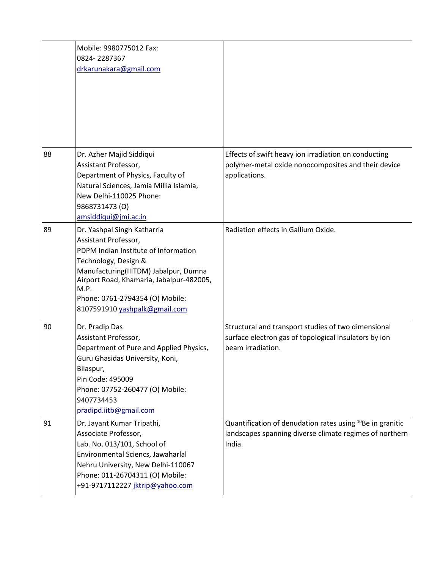|    | Mobile: 9980775012 Fax:<br>0824-2287367<br>drkarunakara@gmail.com                                                                                                                                                                                                                    |                                                                                                                                            |
|----|--------------------------------------------------------------------------------------------------------------------------------------------------------------------------------------------------------------------------------------------------------------------------------------|--------------------------------------------------------------------------------------------------------------------------------------------|
| 88 | Dr. Azher Majid Siddiqui<br>Assistant Professor,<br>Department of Physics, Faculty of<br>Natural Sciences, Jamia Millia Islamia,<br>New Delhi-110025 Phone:<br>9868731473 (O)<br>amsiddiqui@jmi.ac.in                                                                                | Effects of swift heavy ion irradiation on conducting<br>polymer-metal oxide nonocomposites and their device<br>applications.               |
| 89 | Dr. Yashpal Singh Katharria<br>Assistant Professor,<br>PDPM Indian Institute of Information<br>Technology, Design &<br>Manufacturing(IIITDM) Jabalpur, Dumna<br>Airport Road, Khamaria, Jabalpur-482005,<br>M.P.<br>Phone: 0761-2794354 (O) Mobile:<br>8107591910 yashpalk@gmail.com | Radiation effects in Gallium Oxide.                                                                                                        |
| 90 | Dr. Pradip Das<br>Assistant Professor,<br>Department of Pure and Applied Physics,<br>Guru Ghasidas University, Koni,<br>Bilaspur,<br>Pin Code: 495009<br>Phone: 07752-260477 (O) Mobile:<br>9407734453<br>pradipd.iitb@gmail.com                                                     | Structural and transport studies of two dimensional<br>surface electron gas of topological insulators by ion<br>beam irradiation.          |
| 91 | Dr. Jayant Kumar Tripathi,<br>Associate Professor,<br>Lab. No. 013/101, School of<br>Environmental Sciencs, Jawaharlal<br>Nehru University, New Delhi-110067<br>Phone: 011-26704311 (O) Mobile:<br>+91-9717112227 jktrip@yahoo.com                                                   | Quantification of denudation rates using <sup>10</sup> Be in granitic<br>landscapes spanning diverse climate regimes of northern<br>India. |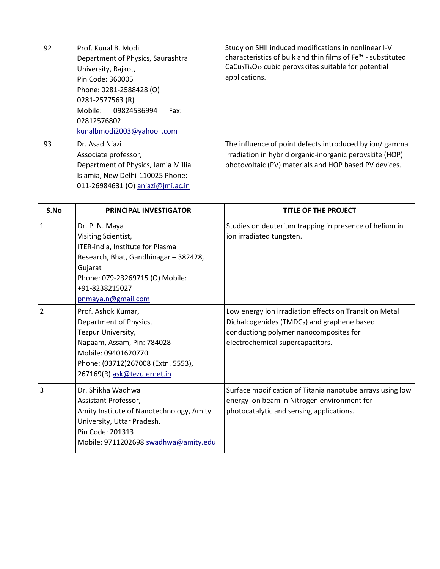| 92   | Prof. Kunal B. Modi<br>Department of Physics, Saurashtra<br>University, Rajkot,<br>Pin Code: 360005<br>Phone: 0281-2588428 (O)<br>0281-2577563 (R)<br>Mobile:<br>09824536994<br>Fax:<br>02812576802<br>kunalbmodi2003@yahoo .com | Study on SHII induced modifications in nonlinear I-V<br>characteristics of bulk and thin films of Fe <sup>3+</sup> - substituted<br>CaCu <sub>3</sub> Ti <sub>4</sub> O <sub>12</sub> cubic perovskites suitable for potential<br>applications. |
|------|----------------------------------------------------------------------------------------------------------------------------------------------------------------------------------------------------------------------------------|-------------------------------------------------------------------------------------------------------------------------------------------------------------------------------------------------------------------------------------------------|
| 93   | Dr. Asad Niazi<br>Associate professor,<br>Department of Physics, Jamia Millia<br>Islamia, New Delhi-110025 Phone:<br>011-26984631 (O) aniazi@jmi.ac.in                                                                           | The influence of point defects introduced by ion/ gamma<br>irradiation in hybrid organic-inorganic perovskite (HOP)<br>photovoltaic (PV) materials and HOP based PV devices.                                                                    |
| S.No | <b>PRINCIPAL INVESTIGATOR</b>                                                                                                                                                                                                    | <b>TITLE OF THE PROJECT</b>                                                                                                                                                                                                                     |
| 1    | Dr. P. N. Maya<br>Visiting Scientist,<br>ITER-india, Institute for Plasma<br>Research, Bhat, Gandhinagar - 382428,<br>Gujarat<br>Phone: 079-23269715 (O) Mobile:<br>+91-8238215027<br>pnmaya.n@gmail.com                         | Studies on deuterium trapping in presence of helium in<br>ion irradiated tungsten.                                                                                                                                                              |
| 2    | Prof. Ashok Kumar,<br>Department of Physics,<br>Tezpur University,<br>Napaam, Assam, Pin: 784028<br>Mobile: 09401620770<br>Phone: (03712)267008 (Extn. 5553),<br>267169(R) ask@tezu.ernet.in                                     | Low energy ion irradiation effects on Transition Metal<br>Dichalcogenides (TMDCs) and graphene based<br>conductiong polymer nanocomposites for<br>electrochemical supercapacitors.                                                              |
| 3    | Dr. Shikha Wadhwa<br>Assistant Professor,<br>Amity Institute of Nanotechnology, Amity                                                                                                                                            | Surface modification of Titania nanotube arrays using low<br>energy ion beam in Nitrogen environment for<br>photocatalytic and sensing applications.                                                                                            |

University, Uttar Pradesh,

Mobile: 9711202698 swadhwa@amity.edu

Pin Code: 201313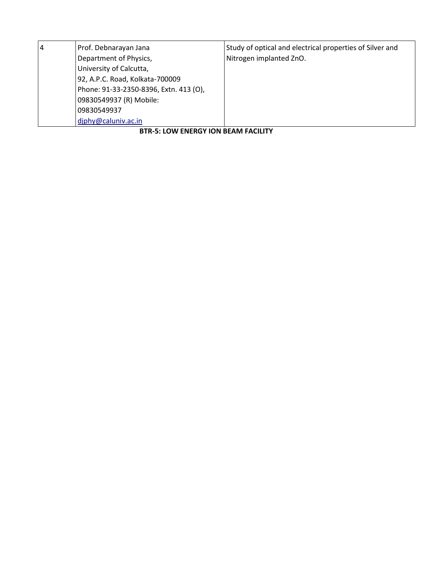| 4 | Prof. Debnarayan Jana                  | Study of optical and electrical properties of Silver and |
|---|----------------------------------------|----------------------------------------------------------|
|   | Department of Physics,                 | Nitrogen implanted ZnO.                                  |
|   | University of Calcutta,                |                                                          |
|   | 92, A.P.C. Road, Kolkata-700009        |                                                          |
|   | Phone: 91-33-2350-8396, Extn. 413 (O), |                                                          |
|   | 09830549937 (R) Mobile:                |                                                          |
|   | 09830549937                            |                                                          |
|   | djphy@caluniv.ac.in                    |                                                          |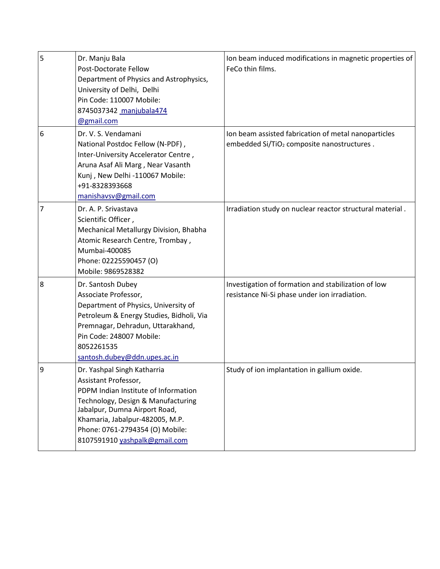| 5 | Dr. Manju Bala<br>Post-Doctorate Fellow<br>Department of Physics and Astrophysics,<br>University of Delhi, Delhi<br>Pin Code: 110007 Mobile:<br>8745037342 manjubala474<br>@gmail.com                                                                                     | Ion beam induced modifications in magnetic properties of<br>FeCo thin films.                                   |
|---|---------------------------------------------------------------------------------------------------------------------------------------------------------------------------------------------------------------------------------------------------------------------------|----------------------------------------------------------------------------------------------------------------|
| 6 | Dr. V. S. Vendamani<br>National Postdoc Fellow (N-PDF),<br>Inter-University Accelerator Centre,<br>Aruna Asaf Ali Marg, Near Vasanth<br>Kunj, New Delhi -110067 Mobile:<br>+91-8328393668<br>manishavsv@gmail.com                                                         | Ion beam assisted fabrication of metal nanoparticles<br>embedded Si/TiO <sub>2</sub> composite nanostructures. |
| 7 | Dr. A. P. Srivastava<br>Scientific Officer,<br>Mechanical Metallurgy Division, Bhabha<br>Atomic Research Centre, Trombay,<br>Mumbai-400085<br>Phone: 02225590457 (O)<br>Mobile: 9869528382                                                                                | Irradiation study on nuclear reactor structural material.                                                      |
| 8 | Dr. Santosh Dubey<br>Associate Professor,<br>Department of Physics, University of<br>Petroleum & Energy Studies, Bidholi, Via<br>Premnagar, Dehradun, Uttarakhand,<br>Pin Code: 248007 Mobile:<br>8052261535<br>santosh.dubey@ddn.upes.ac.in                              | Investigation of formation and stabilization of low<br>resistance Ni-Si phase under ion irradiation.           |
| 9 | Dr. Yashpal Singh Katharria<br>Assistant Professor,<br>PDPM Indian Institute of Information<br>Technology, Design & Manufacturing<br>Jabalpur, Dumna Airport Road,<br>Khamaria, Jabalpur-482005, M.P.<br>Phone: 0761-2794354 (O) Mobile:<br>8107591910 yashpalk@gmail.com | Study of ion implantation in gallium oxide.                                                                    |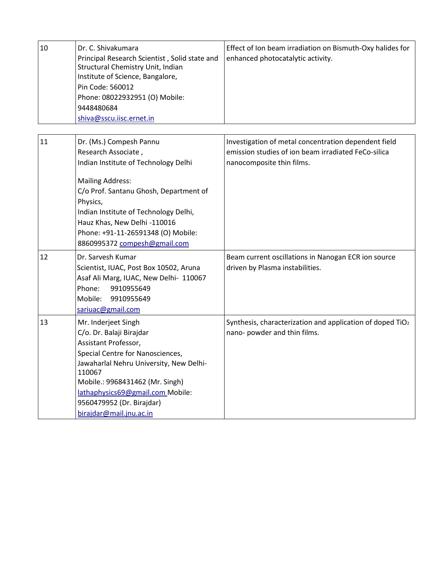| 10 | Dr. C. Shivakumara<br>Principal Research Scientist, Solid state and<br>Structural Chemistry Unit, Indian<br>Institute of Science, Bangalore,<br>Pin Code: 560012<br>Phone: 08022932951 (O) Mobile:<br>9448480684<br>shiva@sscu.iisc.ernet.in                                                                           | Effect of Ion beam irradiation on Bismuth-Oxy halides for<br>enhanced photocatalytic activity.                                           |
|----|------------------------------------------------------------------------------------------------------------------------------------------------------------------------------------------------------------------------------------------------------------------------------------------------------------------------|------------------------------------------------------------------------------------------------------------------------------------------|
|    |                                                                                                                                                                                                                                                                                                                        |                                                                                                                                          |
| 11 | Dr. (Ms.) Compesh Pannu<br>Research Associate,<br>Indian Institute of Technology Delhi<br><b>Mailing Address:</b><br>C/o Prof. Santanu Ghosh, Department of<br>Physics,<br>Indian Institute of Technology Delhi,<br>Hauz Khas, New Delhi -110016<br>Phone: +91-11-26591348 (O) Mobile:<br>8860995372 compesh@gmail.com | Investigation of metal concentration dependent field<br>emission studies of ion beam irradiated FeCo-silica<br>nanocomposite thin films. |
| 12 | Dr. Sarvesh Kumar<br>Scientist, IUAC, Post Box 10502, Aruna<br>Asaf Ali Marg, IUAC, New Delhi- 110067<br>Phone:<br>9910955649<br>Mobile:<br>9910955649<br>sariuac@gmail.com                                                                                                                                            | Beam current oscillations in Nanogan ECR ion source<br>driven by Plasma instabilities.                                                   |
| 13 | Mr. Inderjeet Singh<br>C/o. Dr. Balaji Birajdar<br>Assistant Professor,<br>Special Centre for Nanosciences,<br>Jawaharlal Nehru University, New Delhi-<br>110067<br>Mobile.: 9968431462 (Mr. Singh)<br>lathaphysics69@gmail.com Mobile:<br>9560479952 (Dr. Birajdar)<br>birajdar@mail.jnu.ac.in                        | Synthesis, characterization and application of doped TiO <sub>2</sub><br>nano- powder and thin films.                                    |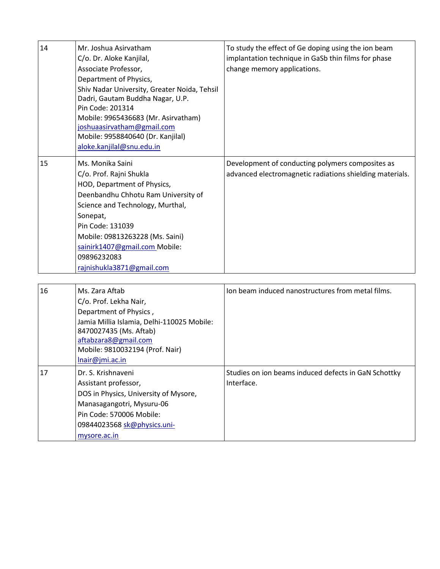| 14 | Mr. Joshua Asirvatham<br>C/o. Dr. Aloke Kanjilal,<br>Associate Professor,<br>Department of Physics,<br>Shiv Nadar University, Greater Noida, Tehsil<br>Dadri, Gautam Buddha Nagar, U.P.<br>Pin Code: 201314<br>Mobile: 9965436683 (Mr. Asirvatham)<br>joshuaasirvatham@gmail.com<br>Mobile: 9958840640 (Dr. Kanjilal)<br>aloke.kanjilal@snu.edu.in | To study the effect of Ge doping using the ion beam<br>implantation technique in GaSb thin films for phase<br>change memory applications. |
|----|----------------------------------------------------------------------------------------------------------------------------------------------------------------------------------------------------------------------------------------------------------------------------------------------------------------------------------------------------|-------------------------------------------------------------------------------------------------------------------------------------------|
| 15 | Ms. Monika Saini<br>C/o. Prof. Rajni Shukla<br>HOD, Department of Physics,<br>Deenbandhu Chhotu Ram University of<br>Science and Technology, Murthal,<br>Sonepat,<br>Pin Code: 131039<br>Mobile: 09813263228 (Ms. Saini)<br>sainirk1407@gmail.com Mobile:<br>09896232083<br>rajnishukla3871@gmail.com                                              | Development of conducting polymers composites as<br>advanced electromagnetic radiations shielding materials.                              |
| 16 | Ms. Zara Aftab<br>C/o. Prof. Lekha Nair,<br>Department of Physics,<br>Jamia Millia Islamia, Delhi-110025 Mobile:<br>8470027435 (Ms. Aftab)<br>aftabzara8@gmail.com<br>Mobile: 9810032194 (Prof. Nair)<br>Inair@jmi.ac.in                                                                                                                           | Ion beam induced nanostructures from metal films.                                                                                         |
| 17 | Dr. S. Krishnaveni<br>Assistant professor,<br>DOS in Physics, University of Mysore,<br>Manasagangotri, Mysuru-06<br>Pin Code: 570006 Mobile:<br>09844023568 sk@physics.uni-<br>mysore.ac.in                                                                                                                                                        | Studies on ion beams induced defects in GaN Schottky<br>Interface.                                                                        |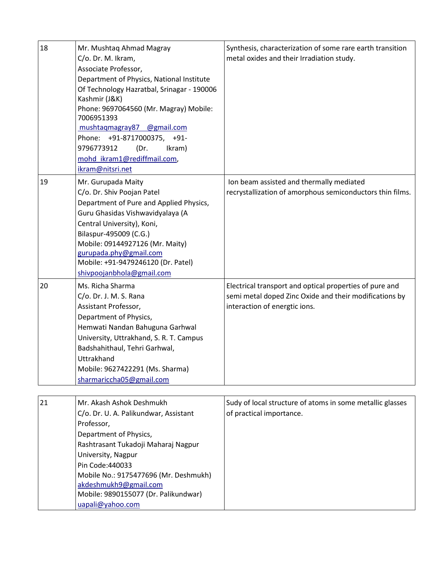| 18 | Mr. Mushtaq Ahmad Magray<br>C/o. Dr. M. Ikram,<br>Associate Professor,<br>Department of Physics, National Institute<br>Of Technology Hazratbal, Srinagar - 190006<br>Kashmir (J&K)<br>Phone: 9697064560 (Mr. Magray) Mobile:<br>7006951393<br>mushtagmagray87 @gmail.com<br>Phone: +91-8717000375, +91-<br>9796773912<br>(Dr.<br>Ikram)<br>mohd_ikram1@rediffmail.com,<br>ikram@nitsri.net | Synthesis, characterization of some rare earth transition<br>metal oxides and their Irradiation study.                                             |
|----|--------------------------------------------------------------------------------------------------------------------------------------------------------------------------------------------------------------------------------------------------------------------------------------------------------------------------------------------------------------------------------------------|----------------------------------------------------------------------------------------------------------------------------------------------------|
| 19 | Mr. Gurupada Maity<br>C/o. Dr. Shiv Poojan Patel<br>Department of Pure and Applied Physics,<br>Guru Ghasidas Vishwavidyalaya (A<br>Central University), Koni,<br>Bilaspur-495009 (C.G.)<br>Mobile: 09144927126 (Mr. Maity)<br>gurupada.phy@gmail.com<br>Mobile: +91-9479246120 (Dr. Patel)<br>shivpoojanbhola@gmail.com                                                                    | Ion beam assisted and thermally mediated<br>recrystallization of amorphous semiconductors thin films.                                              |
| 20 | Ms. Richa Sharma<br>C/o. Dr. J. M. S. Rana<br>Assistant Professor,<br>Department of Physics,<br>Hemwati Nandan Bahuguna Garhwal<br>University, Uttrakhand, S. R. T. Campus<br>Badshahithaul, Tehri Garhwal,<br>Uttrakhand<br>Mobile: 9627422291 (Ms. Sharma)<br>sharmariccha05@gmail.com                                                                                                   | Electrical transport and optical properties of pure and<br>semi metal doped Zinc Oxide and their modifications by<br>interaction of energtic ions. |
| 21 | Mr. Akash Ashok Deshmukh<br>C/o. Dr. U. A. Palikundwar, Assistant<br>Professor,<br>Department of Physics,<br>Rashtrasant Tukadoji Maharaj Nagpur<br>University, Nagpur<br>Pin Code: 440033<br>Mobile No.: 9175477696 (Mr. Deshmukh)<br>akdeshmukh9@gmail.com<br>Mobile: 9890155077 (Dr. Palikundwar)<br>uapali@yahoo.com                                                                   | Sudy of local structure of atoms in some metallic glasses<br>of practical importance.                                                              |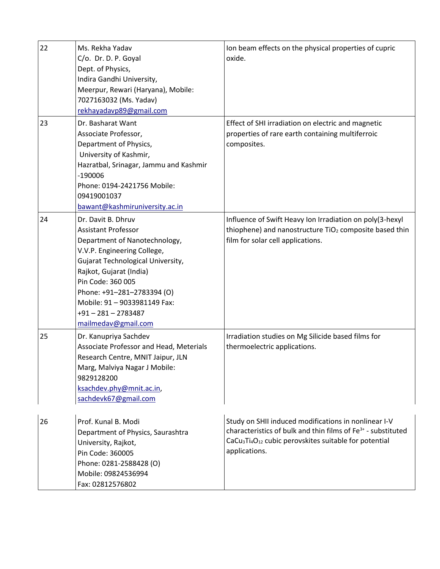| 22 | Ms. Rekha Yadav<br>C/o. Dr. D. P. Goyal<br>Dept. of Physics,<br>Indira Gandhi University,<br>Meerpur, Rewari (Haryana), Mobile:<br>7027163032 (Ms. Yadav)<br>rekhayadavp89@gmail.com                                                                                                                                | Ion beam effects on the physical properties of cupric<br>oxide.                                                                                                                                                                                 |
|----|---------------------------------------------------------------------------------------------------------------------------------------------------------------------------------------------------------------------------------------------------------------------------------------------------------------------|-------------------------------------------------------------------------------------------------------------------------------------------------------------------------------------------------------------------------------------------------|
| 23 | Dr. Basharat Want<br>Associate Professor,<br>Department of Physics,<br>University of Kashmir,<br>Hazratbal, Srinagar, Jammu and Kashmir<br>$-190006$<br>Phone: 0194-2421756 Mobile:<br>09419001037<br>bawant@kashmiruniversity.ac.in                                                                                | Effect of SHI irradiation on electric and magnetic<br>properties of rare earth containing multiferroic<br>composites.                                                                                                                           |
| 24 | Dr. Davit B. Dhruv<br><b>Assistant Professor</b><br>Department of Nanotechnology,<br>V.V.P. Engineering College,<br>Gujarat Technological University,<br>Rajkot, Gujarat (India)<br>Pin Code: 360 005<br>Phone: +91-281-2783394 (O)<br>Mobile: 91 - 9033981149 Fax:<br>$+91 - 281 - 2783487$<br>mailmedav@gmail.com | Influence of Swift Heavy Ion Irradiation on poly(3-hexyl<br>thiophene) and nanostructure TiO <sub>2</sub> composite based thin<br>film for solar cell applications.                                                                             |
| 25 | Dr. Kanupriya Sachdev<br>Associate Professor and Head, Meterials<br>Research Centre, MNIT Jaipur, JLN<br>Marg, Malviya Nagar J Mobile:<br>9829128200<br>ksachdev.phy@mnit.ac.in,<br>sachdevk67@gmail.com                                                                                                            | Irradiation studies on Mg Silicide based films for<br>thermoelectric applications.                                                                                                                                                              |
| 26 | Prof. Kunal B. Modi<br>Department of Physics, Saurashtra<br>University, Rajkot,<br>Pin Code: 360005<br>Phone: 0281-2588428 (O)<br>Mobile: 09824536994<br>Fax: 02812576802                                                                                                                                           | Study on SHII induced modifications in nonlinear I-V<br>characteristics of bulk and thin films of Fe <sup>3+</sup> - substituted<br>CaCu <sub>3</sub> Ti <sub>4</sub> O <sub>12</sub> cubic perovskites suitable for potential<br>applications. |